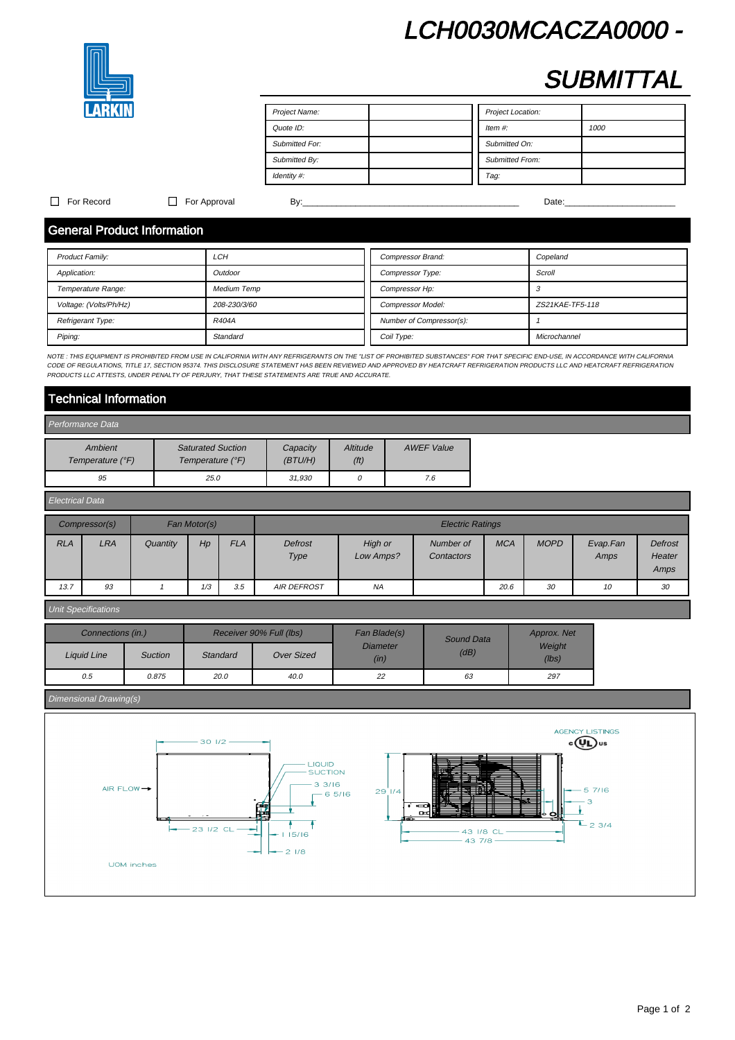## LCH0030MCACZA0000 -



## **SUBMITTAL**

| Project Name:  | Project Location:      |
|----------------|------------------------|
| Quote ID:      | Item $#$ :<br>1000     |
| Submitted For: | Submitted On:          |
| Submitted By:  | <b>Submitted From:</b> |
| Identity #:    | Tag:                   |

### For Record For Approval By:\_\_\_\_\_\_\_\_\_\_\_\_\_\_\_\_\_\_\_\_\_\_\_\_\_\_\_\_\_\_\_\_\_\_\_\_\_\_\_\_\_\_\_\_\_ Date:\_\_\_\_\_\_\_\_\_\_\_\_\_\_\_\_\_\_\_\_\_\_\_

## General Product Information

| <b>Product Family:</b> | LCH                | Compressor Brand:        | Copeland        |
|------------------------|--------------------|--------------------------|-----------------|
| Application:           | Outdoor            | Compressor Type:         | Scroll          |
| Temperature Range:     | <b>Medium Temp</b> | Compressor Hp:           |                 |
| Voltage: (Volts/Ph/Hz) | 208-230/3/60       | <b>Compressor Model:</b> | ZS21KAE-TF5-118 |
| Refrigerant Type:      | R404A              | Number of Compressor(s): |                 |
| Piping:                | Standard           | Coil Type:               | Microchannel    |

NOTE : THIS EQUIPMENT IS PROHIBITED FROM USE IN CALIFORNIA WITH ANY REFRIGERANTS ON THE "LIST OF PROHIBITED SUBSTANCES" FOR THAT SPECIFIC END-USE, IN ACCORDANCE WITH CALIFORNIA CODE OF REGULATIONS, TITLE 17, SECTION 95374. THIS DISCLOSURE STATEMENT HAS BEEN REVIEWED AND APPROVED BY HEATCRAFT REFRIGERATION PRODUCTS LLC AND HEATCRAFT REFRIGERATION PRODUCTS AND HEATCRAFT REFRIGERATION PRODUCTS LLC A PRODUCTS LLC ATTESTS, UNDER PENALTY OF PERJURY, THAT THESE STATEMENTS ARE TRUE AND ACCURATE.

## Technical Information

| Performance Data            |                                              |                      |                               |            |  |  |  |
|-----------------------------|----------------------------------------------|----------------------|-------------------------------|------------|--|--|--|
| Ambient<br>Temperature (°F) | <b>Saturated Suction</b><br>Temperature (°F) | Capacity<br>(BT U/H) | Altitude<br>(f <sup>t</sup> ) | AWEF Value |  |  |  |
| 95                          | 25.0                                         | 31.930               |                               | 7.6        |  |  |  |

| <b>Electrical Data</b> |               |          |              |            |                    |                      |                         |            |             |                  |                           |
|------------------------|---------------|----------|--------------|------------|--------------------|----------------------|-------------------------|------------|-------------|------------------|---------------------------|
|                        | Compressor(s) |          | Fan Motor(s) |            |                    |                      | <b>Electric Ratings</b> |            |             |                  |                           |
| <b>RLA</b>             | LRA           | Quantity | Hp           | <b>FLA</b> | Defrost<br>Type    | High or<br>Low Amps? | Number of<br>Contactors | <b>MCA</b> | <b>MOPD</b> | Evap.Fan<br>Amps | Defrost<br>Heater<br>Amps |
| 13.7                   | 93            |          | 1/3          | 3.5        | <b>AIR DEFROST</b> | NA                   |                         | 20.6       | 30          | 10               | 30                        |

### Unit Specifications

|                    | Connections (in.)<br>Receiver 90% Full (lbs) |          | Fan Blade(s)      | <b>Sound Data</b>       | Approx. Net |                 |  |
|--------------------|----------------------------------------------|----------|-------------------|-------------------------|-------------|-----------------|--|
| <b>Liquid Line</b> | <b>Suction</b>                               | Standard | <b>Over Sized</b> | <b>Diameter</b><br>(in) | (dB)        | Weight<br>(lbs) |  |
| 0.5                | 0.875                                        | 20.0     | 40.0              | 22                      | 63          | 297             |  |

## Dimensional Drawing(s)